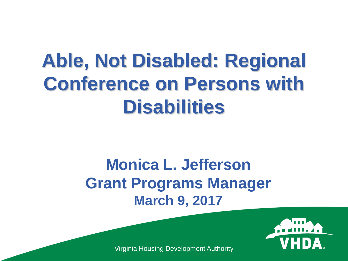### **Able, Not Disabled: Regional Conference on Persons with Disabilities**

#### **Monica L. Jefferson Grant Programs Manager March 9, 2017**



Virginia Housing Development Authority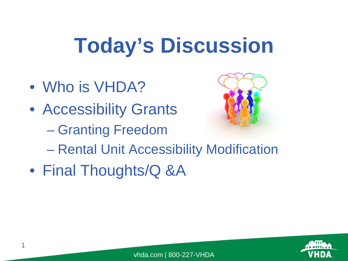### **Today's Discussion**

• Who is VHDA?

1

- Accessibility Grants
	- Granting Freedom



- Rental Unit Accessibility Modification
- Final Thoughts/Q &A

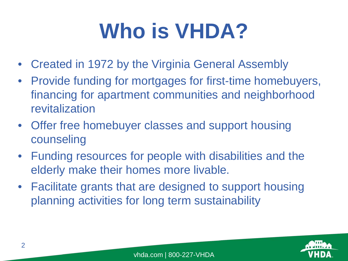### **Who is VHDA?**

- Created in 1972 by the Virginia General Assembly
- Provide funding for mortgages for first-time homebuyers, financing for apartment communities and neighborhood revitalization
- Offer free homebuyer classes and support housing counseling
- Funding resources for people with disabilities and the elderly make their homes more livable.
- Facilitate grants that are designed to support housing planning activities for long term sustainability

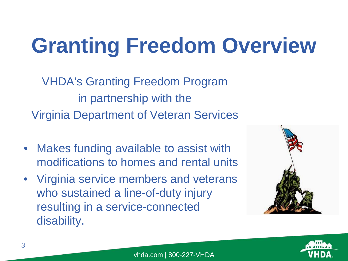### **Granting Freedom Overview**

VHDA's Granting Freedom Program in partnership with the Virginia Department of Veteran Services

- Makes funding available to assist with modifications to homes and rental units
- Virginia service members and veterans who sustained a line-of-duty injury resulting in a service-connected disability.



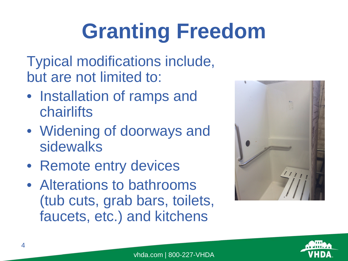## **Granting Freedom**

Typical modifications include, but are not limited to:

- Installation of ramps and chairlifts
- Widening of doorways and sidewalks
- Remote entry devices
- Alterations to bathrooms (tub cuts, grab bars, toilets, faucets, etc.) and kitchens



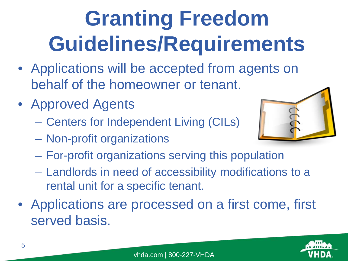# **Granting Freedom Guidelines/Requirements**

- Applications will be accepted from agents on behalf of the homeowner or tenant.
- Approved Agents
	- Centers for Independent Living (CILs)
	- Non-profit organizations



- For-profit organizations serving this population
- Landlords in need of accessibility modifications to a rental unit for a specific tenant.
- Applications are processed on a first come, first served basis.

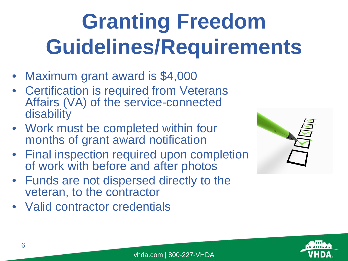## **Granting Freedom Guidelines/Requirements**

- Maximum grant award is \$4,000
- Certification is required from Veterans Affairs (VA) of the service-connected disability
- Work must be completed within four months of grant award notification
- Final inspection required upon completion of work with before and after photos
- Funds are not dispersed directly to the veteran, to the contractor
- Valid contractor credentials



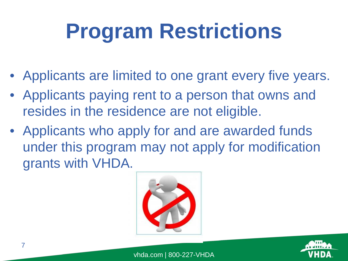## **Program Restrictions**

- Applicants are limited to one grant every five years.
- Applicants paying rent to a person that owns and resides in the residence are not eligible.
- Applicants who apply for and are awarded funds under this program may not apply for modification grants with VHDA.



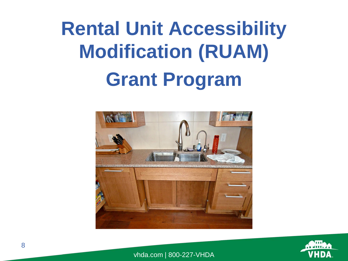### **Rental Unit Accessibility Modification (RUAM) Grant Program**



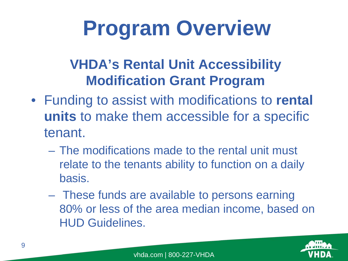### **Program Overview**

#### **VHDA's Rental Unit Accessibility Modification Grant Program**

- Funding to assist with modifications to **rental units** to make them accessible for a specific tenant.
	- The modifications made to the rental unit must relate to the tenants ability to function on a daily basis.
	- These funds are available to persons earning 80% or less of the area median income, based on HUD Guidelines.

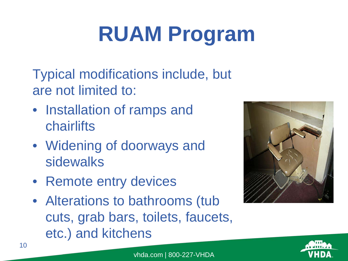## **RUAM Program**

Typical modifications include, but are not limited to:

- Installation of ramps and chairlifts
- Widening of doorways and sidewalks
- Remote entry devices
- Alterations to bathrooms (tub cuts, grab bars, toilets, faucets, etc.) and kitchens



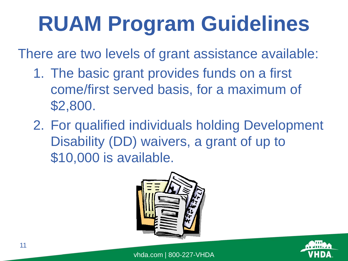## **RUAM Program Guidelines**

There are two levels of grant assistance available:

- 1. The basic grant provides funds on a first come/first served basis, for a maximum of \$2,800.
- 2. For qualified individuals holding Development Disability (DD) waivers, a grant of up to \$10,000 is available.



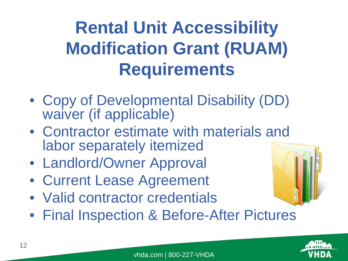### **Rental Unit Accessibility Modification Grant (RUAM) Requirements**

- Copy of Developmental Disability (DD) waiver (if applicable)
- Contractor estimate with materials and labor separately itemized
- Landlord/Owner Approval
- Current Lease Agreement
- Valid contractor credentials
- Final Inspection & Before-After Pictures



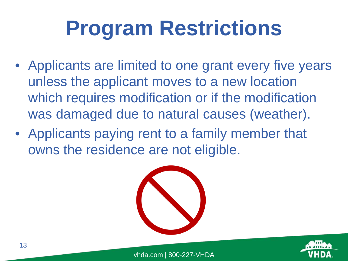### **Program Restrictions**

- Applicants are limited to one grant every five years unless the applicant moves to a new location which requires modification or if the modification was damaged due to natural causes (weather).
- Applicants paying rent to a family member that owns the residence are not eligible.



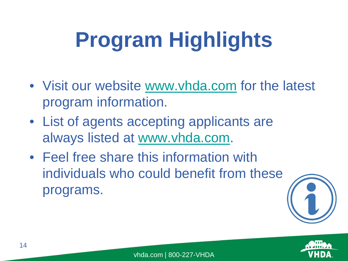## **Program Highlights**

- Visit our website [www.vhda.com](http://www.vhda.com/) for the latest program information.
- List of agents accepting applicants are always listed at [www.vhda.com.](http://www.vhda.com/)
- Feel free share this information with individuals who could benefit from these programs.



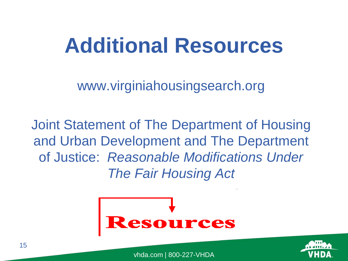### **Additional Resources**

www.virginiahousingsearch.org

Joint Statement of The Department of Housing and Urban Development and The Department of Justice: *Reasonable Modifications Under The Fair Housing Act*



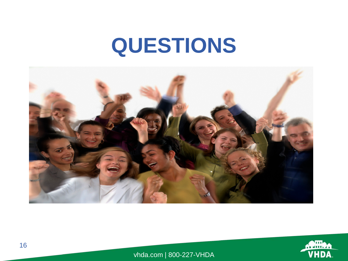### **QUESTIONS**



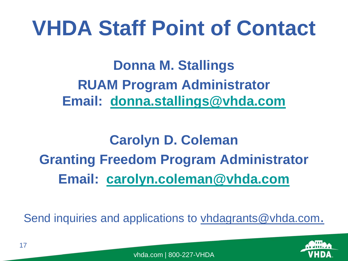### **VHDA Staff Point of Contact**

**Donna M. Stallings RUAM Program Administrator Email: [donna.stallings@vhda.com](mailto:donna.stallings@vhda.com)**

#### **Carolyn D. Coleman Granting Freedom Program Administrator Email: [carolyn.coleman@vhda.com](mailto:carolyn.coleman@vhda.com)**

Send inquiries and applications to *yhdagrants@vhda.com.*